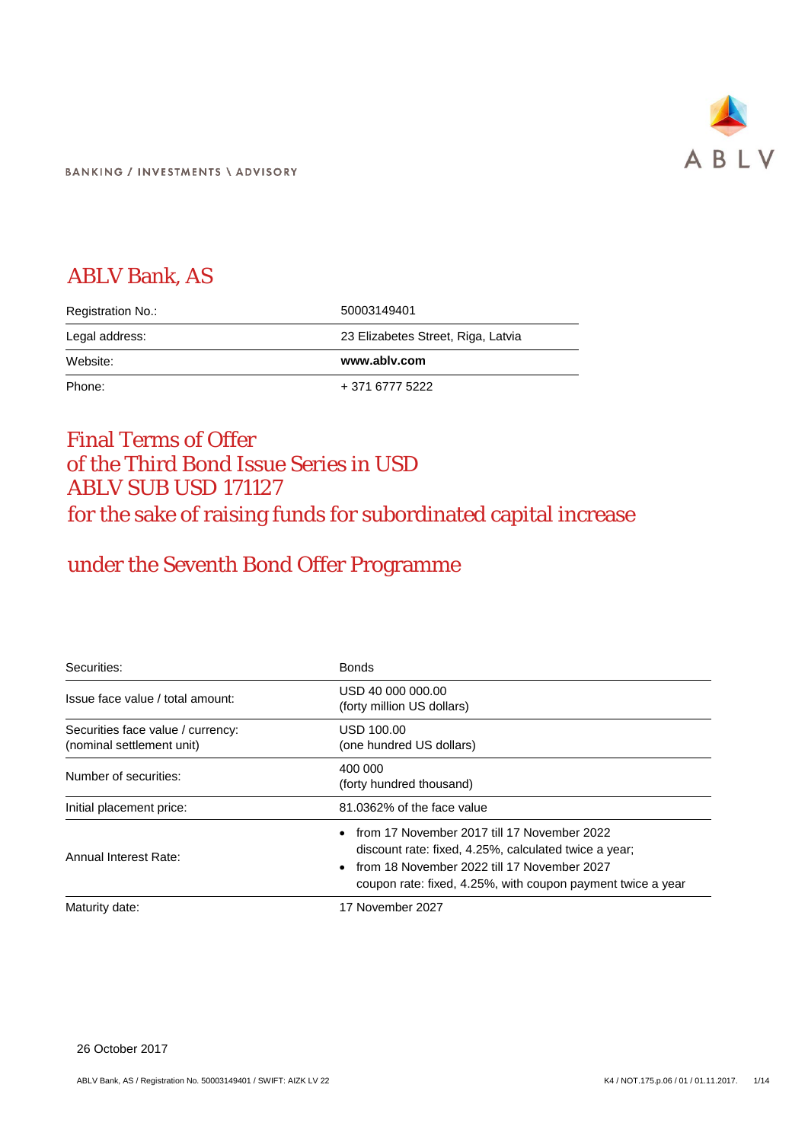

**BANKING / INVESTMENTS \ ADVISORY** 

## ABLV Bank, AS

| Registration No.: | 50003149401                        |
|-------------------|------------------------------------|
| Legal address:    | 23 Elizabetes Street, Riga, Latvia |
|                   |                                    |
| Website:          | www.ablv.com                       |

## Final Terms of Offer of the Third Bond Issue Series in USD ABLV SUB USD 171127 for the sake of raising funds for subordinated capital increase

# under the Seventh Bond Offer Programme

| Securities:                                                    | <b>Bonds</b>                                                                                                                                                                                                       |
|----------------------------------------------------------------|--------------------------------------------------------------------------------------------------------------------------------------------------------------------------------------------------------------------|
| Issue face value / total amount:                               | USD 40 000 000.00<br>(forty million US dollars)                                                                                                                                                                    |
| Securities face value / currency:<br>(nominal settlement unit) | USD 100.00<br>(one hundred US dollars)                                                                                                                                                                             |
| Number of securities:                                          | 400 000<br>(forty hundred thousand)                                                                                                                                                                                |
| Initial placement price:                                       | 81.0362% of the face value                                                                                                                                                                                         |
| Annual Interest Rate:                                          | from 17 November 2017 till 17 November 2022<br>discount rate: fixed, 4.25%, calculated twice a year;<br>from 18 November 2022 till 17 November 2027<br>coupon rate: fixed, 4.25%, with coupon payment twice a year |
| Maturity date:                                                 | 17 November 2027                                                                                                                                                                                                   |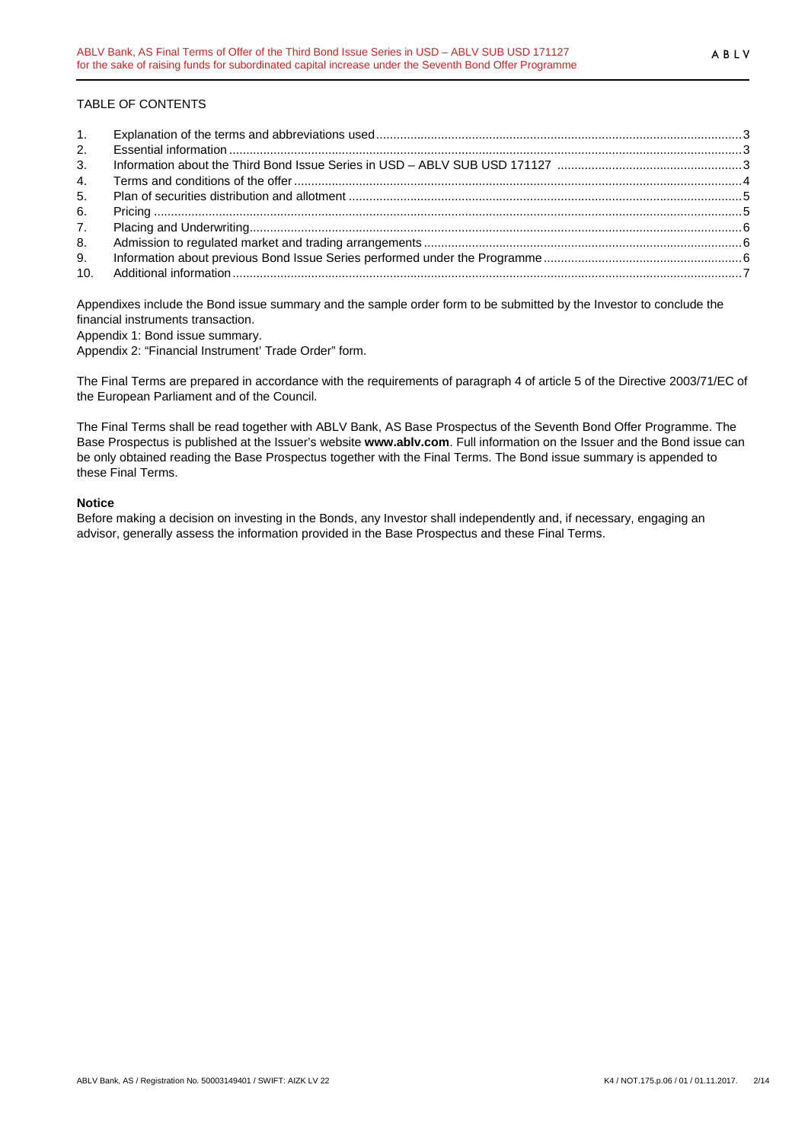## TABLE OF CONTENTS

| 2. |  |
|----|--|
| 3. |  |
| 4. |  |
| 5. |  |
| 6. |  |
|    |  |
| 8. |  |
| 9. |  |
|    |  |

Appendixes include the Bond issue summary and the sample order form to be submitted by the Investor to conclude the financial instruments transaction.

Appendix 1: Bond issue summary.

Appendix 2: "Financial Instrument' Trade Order" form.

The Final Terms are prepared in accordance with the requirements of paragraph 4 of article 5 of the Directive 2003/71/EC of the European Parliament and of the Council.

The Final Terms shall be read together with ABLV Bank, AS Base Prospectus of the Seventh Bond Offer Programme. The Base Prospectus is published at the Issuer's website **www.ablv.com**. Full information on the Issuer and the Bond issue can be only obtained reading the Base Prospectus together with the Final Terms. The Bond issue summary is appended to these Final Terms.

#### **Notice**

Before making a decision on investing in the Bonds, any Investor shall independently and, if necessary, engaging an advisor, generally assess the information provided in the Base Prospectus and these Final Terms.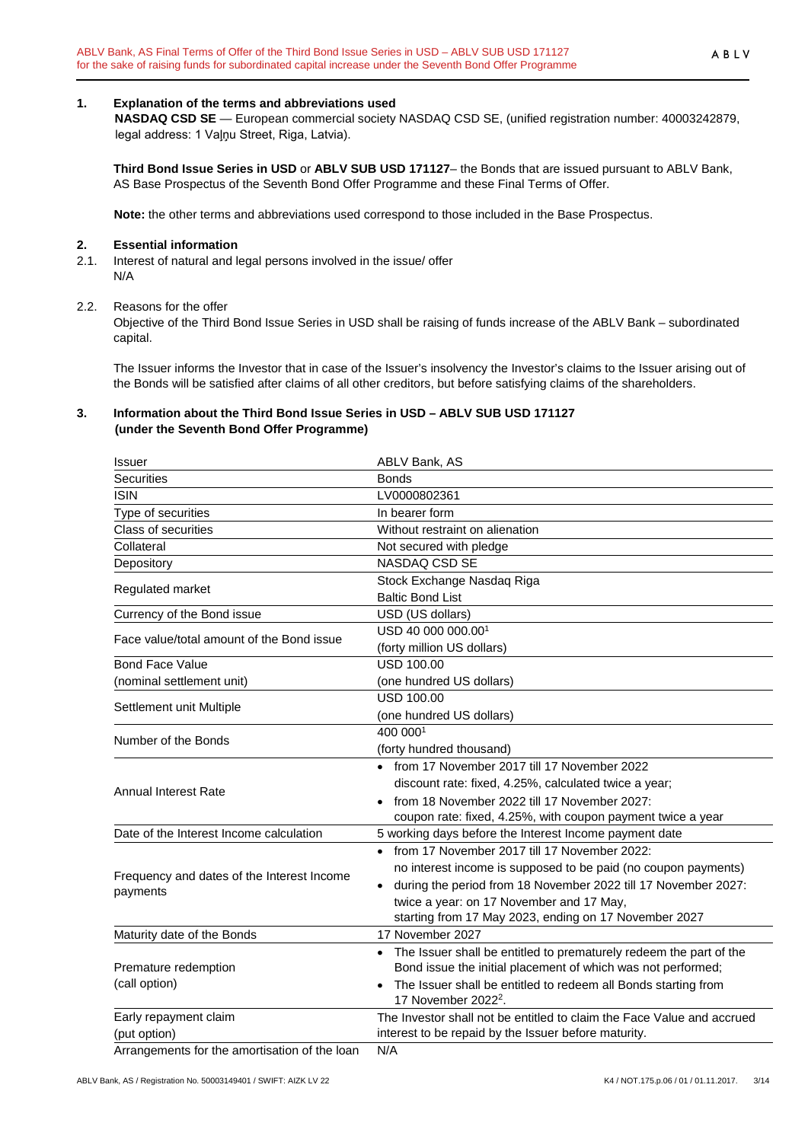## <span id="page-2-0"></span>**1. Explanation of the terms and abbreviations used**

**NASDAQ CSD SE** — European commercial society NASDAQ CSD SE, (unified registration number: 40003242879, legal address: 1 Vaļņu Street, Riga, Latvia).

**Third Bond Issue Series in USD** or **ABLV SUB USD 171127**– the Bonds that are issued pursuant to ABLV Bank, AS Base Prospectus of the Seventh Bond Offer Programme and these Final Terms of Offer.

**Note:** the other terms and abbreviations used correspond to those included in the Base Prospectus.

#### <span id="page-2-1"></span>**2. Essential information**

2.1. Interest of natural and legal persons involved in the issue/ offer N/A

#### 2.2. Reasons for the offer

Objective of the Third Bond Issue Series in USD shall be raising of funds increase of the ABLV Bank – subordinated capital.

The Issuer informs the Investor that in case of the Issuer's insolvency the Investor's claims to the Issuer arising out of the Bonds will be satisfied after claims of all other creditors, but before satisfying claims of the shareholders.

#### <span id="page-2-2"></span>**3. Information about the Third Bond Issue Series in USD – ABLV SUB USD 171127 (under the Seventh Bond Offer Programme)**

| <b>Issuer</b>                                          | ABLV Bank, AS                                                                                                                                                                                                                                                                                        |
|--------------------------------------------------------|------------------------------------------------------------------------------------------------------------------------------------------------------------------------------------------------------------------------------------------------------------------------------------------------------|
| <b>Securities</b>                                      | <b>Bonds</b>                                                                                                                                                                                                                                                                                         |
| <b>ISIN</b>                                            | LV0000802361                                                                                                                                                                                                                                                                                         |
| Type of securities                                     | In bearer form                                                                                                                                                                                                                                                                                       |
| Class of securities                                    | Without restraint on alienation                                                                                                                                                                                                                                                                      |
| Collateral                                             | Not secured with pledge                                                                                                                                                                                                                                                                              |
| Depository                                             | NASDAQ CSD SE                                                                                                                                                                                                                                                                                        |
| Regulated market                                       | Stock Exchange Nasdaq Riga<br><b>Baltic Bond List</b>                                                                                                                                                                                                                                                |
| Currency of the Bond issue                             | USD (US dollars)                                                                                                                                                                                                                                                                                     |
| Face value/total amount of the Bond issue              | USD 40 000 000.001<br>(forty million US dollars)                                                                                                                                                                                                                                                     |
| <b>Bond Face Value</b>                                 | <b>USD 100.00</b>                                                                                                                                                                                                                                                                                    |
| (nominal settlement unit)                              | (one hundred US dollars)                                                                                                                                                                                                                                                                             |
| Settlement unit Multiple                               | <b>USD 100.00</b><br>(one hundred US dollars)                                                                                                                                                                                                                                                        |
| Number of the Bonds                                    | 400 0001<br>(forty hundred thousand)                                                                                                                                                                                                                                                                 |
| <b>Annual Interest Rate</b>                            | • from 17 November 2017 till 17 November 2022<br>discount rate: fixed, 4.25%, calculated twice a year;<br>from 18 November 2022 till 17 November 2027:<br>coupon rate: fixed, 4.25%, with coupon payment twice a year                                                                                |
| Date of the Interest Income calculation                | 5 working days before the Interest Income payment date                                                                                                                                                                                                                                               |
| Frequency and dates of the Interest Income<br>payments | • from 17 November 2017 till 17 November 2022:<br>no interest income is supposed to be paid (no coupon payments)<br>during the period from 18 November 2022 till 17 November 2027:<br>$\bullet$<br>twice a year: on 17 November and 17 May,<br>starting from 17 May 2023, ending on 17 November 2027 |
| Maturity date of the Bonds                             | 17 November 2027                                                                                                                                                                                                                                                                                     |
| Premature redemption<br>(call option)                  | The Issuer shall be entitled to prematurely redeem the part of the<br>Bond issue the initial placement of which was not performed;<br>The Issuer shall be entitled to redeem all Bonds starting from<br>17 November 2022 <sup>2</sup> .                                                              |
| Early repayment claim<br>(put option)                  | The Investor shall not be entitled to claim the Face Value and accrued<br>interest to be repaid by the Issuer before maturity.                                                                                                                                                                       |
| Arrangements for the amortisation of the loan          | N/A                                                                                                                                                                                                                                                                                                  |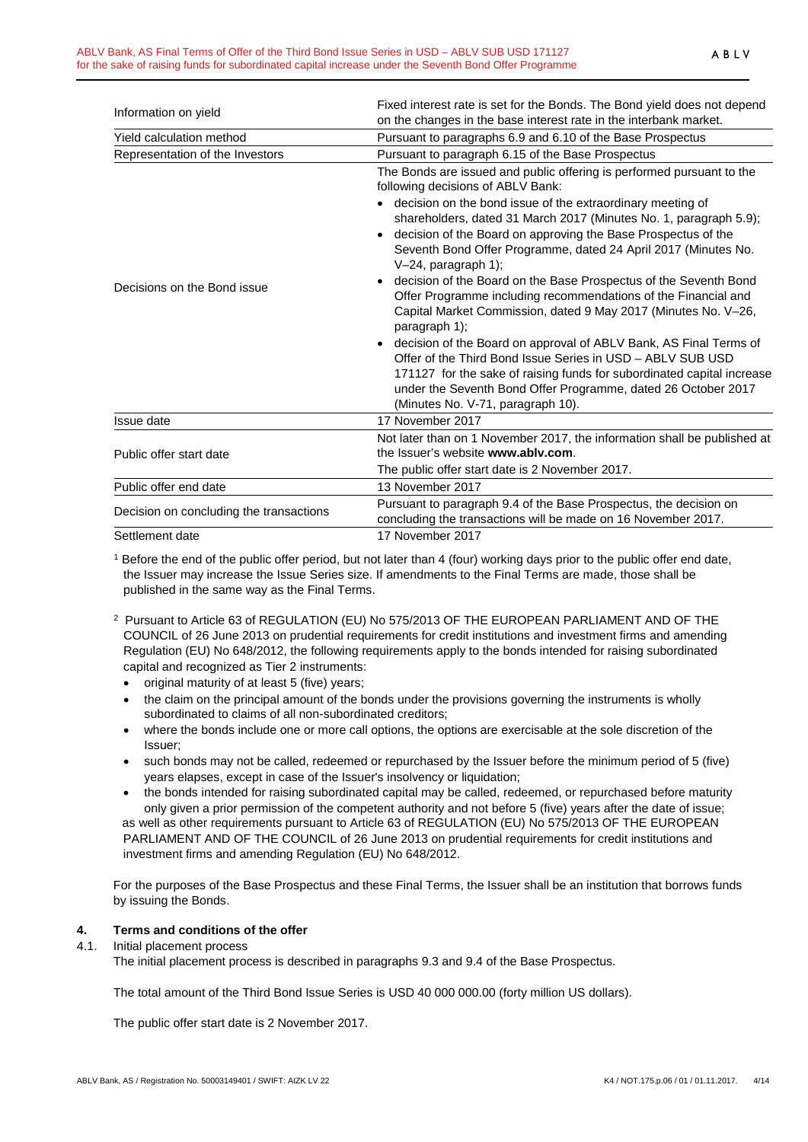|                                         | Fixed interest rate is set for the Bonds. The Bond yield does not depend                                                                                                                                                                                                                                                                                                                                                                                                                                                                                                                                                                                                                                                                                                                                                                                                                                                                                                                      |
|-----------------------------------------|-----------------------------------------------------------------------------------------------------------------------------------------------------------------------------------------------------------------------------------------------------------------------------------------------------------------------------------------------------------------------------------------------------------------------------------------------------------------------------------------------------------------------------------------------------------------------------------------------------------------------------------------------------------------------------------------------------------------------------------------------------------------------------------------------------------------------------------------------------------------------------------------------------------------------------------------------------------------------------------------------|
| Information on yield                    | on the changes in the base interest rate in the interbank market.                                                                                                                                                                                                                                                                                                                                                                                                                                                                                                                                                                                                                                                                                                                                                                                                                                                                                                                             |
| Yield calculation method                | Pursuant to paragraphs 6.9 and 6.10 of the Base Prospectus                                                                                                                                                                                                                                                                                                                                                                                                                                                                                                                                                                                                                                                                                                                                                                                                                                                                                                                                    |
| Representation of the Investors         | Pursuant to paragraph 6.15 of the Base Prospectus                                                                                                                                                                                                                                                                                                                                                                                                                                                                                                                                                                                                                                                                                                                                                                                                                                                                                                                                             |
| Decisions on the Bond issue             | The Bonds are issued and public offering is performed pursuant to the<br>following decisions of ABLV Bank:<br>decision on the bond issue of the extraordinary meeting of<br>shareholders, dated 31 March 2017 (Minutes No. 1, paragraph 5.9);<br>decision of the Board on approving the Base Prospectus of the<br>$\bullet$<br>Seventh Bond Offer Programme, dated 24 April 2017 (Minutes No.<br>$V-24$ , paragraph 1);<br>decision of the Board on the Base Prospectus of the Seventh Bond<br>$\bullet$<br>Offer Programme including recommendations of the Financial and<br>Capital Market Commission, dated 9 May 2017 (Minutes No. V-26,<br>paragraph 1);<br>decision of the Board on approval of ABLV Bank, AS Final Terms of<br>$\bullet$<br>Offer of the Third Bond Issue Series in USD - ABLV SUB USD<br>171127 for the sake of raising funds for subordinated capital increase<br>under the Seventh Bond Offer Programme, dated 26 October 2017<br>(Minutes No. V-71, paragraph 10). |
| Issue date                              | 17 November 2017                                                                                                                                                                                                                                                                                                                                                                                                                                                                                                                                                                                                                                                                                                                                                                                                                                                                                                                                                                              |
| Public offer start date                 | Not later than on 1 November 2017, the information shall be published at<br>the Issuer's website www.ably.com.<br>The public offer start date is 2 November 2017.                                                                                                                                                                                                                                                                                                                                                                                                                                                                                                                                                                                                                                                                                                                                                                                                                             |
| Public offer end date                   | 13 November 2017                                                                                                                                                                                                                                                                                                                                                                                                                                                                                                                                                                                                                                                                                                                                                                                                                                                                                                                                                                              |
| Decision on concluding the transactions | Pursuant to paragraph 9.4 of the Base Prospectus, the decision on<br>concluding the transactions will be made on 16 November 2017.                                                                                                                                                                                                                                                                                                                                                                                                                                                                                                                                                                                                                                                                                                                                                                                                                                                            |
| Settlement date                         | 17 November 2017                                                                                                                                                                                                                                                                                                                                                                                                                                                                                                                                                                                                                                                                                                                                                                                                                                                                                                                                                                              |

<sup>1</sup> Before the end of the public offer period, but not later than 4 (four) working days prior to the public offer end date, the Issuer may increase the Issue Series size. If amendments to the Final Terms are made, those shall be published in the same way as the Final Terms.

- 2 Pursuant to Article 63 of REGULATION (EU) No 575/2013 OF THE EUROPEAN PARLIAMENT AND OF THE COUNCIL of 26 June 2013 on prudential requirements for credit institutions and investment firms and amending Regulation (EU) No 648/2012, the following requirements apply to the bonds intended for raising subordinated capital and recognized as Tier 2 instruments:
	- original maturity of at least 5 (five) years;
	- the claim on the principal amount of the bonds under the provisions governing the instruments is wholly subordinated to claims of all non-subordinated creditors;
	- where the bonds include one or more call options, the options are exercisable at the sole discretion of the Issuer;
	- such bonds may not be called, redeemed or repurchased by the Issuer before the minimum period of 5 (five) years elapses, except in case of the Issuer's insolvency or liquidation;
	- the bonds intended for raising subordinated capital may be called, redeemed, or repurchased before maturity only given a prior permission of the competent authority and not before 5 (five) years after the date of issue; as well as other requirements pursuant to Article 63 of REGULATION (EU) No 575/2013 OF THE EUROPEAN PARLIAMENT AND OF THE COUNCIL of 26 June 2013 on prudential requirements for credit institutions and investment firms and amending Regulation (EU) No 648/2012.

For the purposes of the Base Prospectus and these Final Terms, the Issuer shall be an institution that borrows funds by issuing the Bonds.

## <span id="page-3-0"></span>**4. Terms and conditions of the offer**

#### 4.1. Initial placement process

The initial placement process is described in paragraphs 9.3 and 9.4 of the Base Prospectus.

The total amount of the Third Bond Issue Series is USD 40 000 000.00 (forty million US dollars).

The public offer start date is 2 November 2017.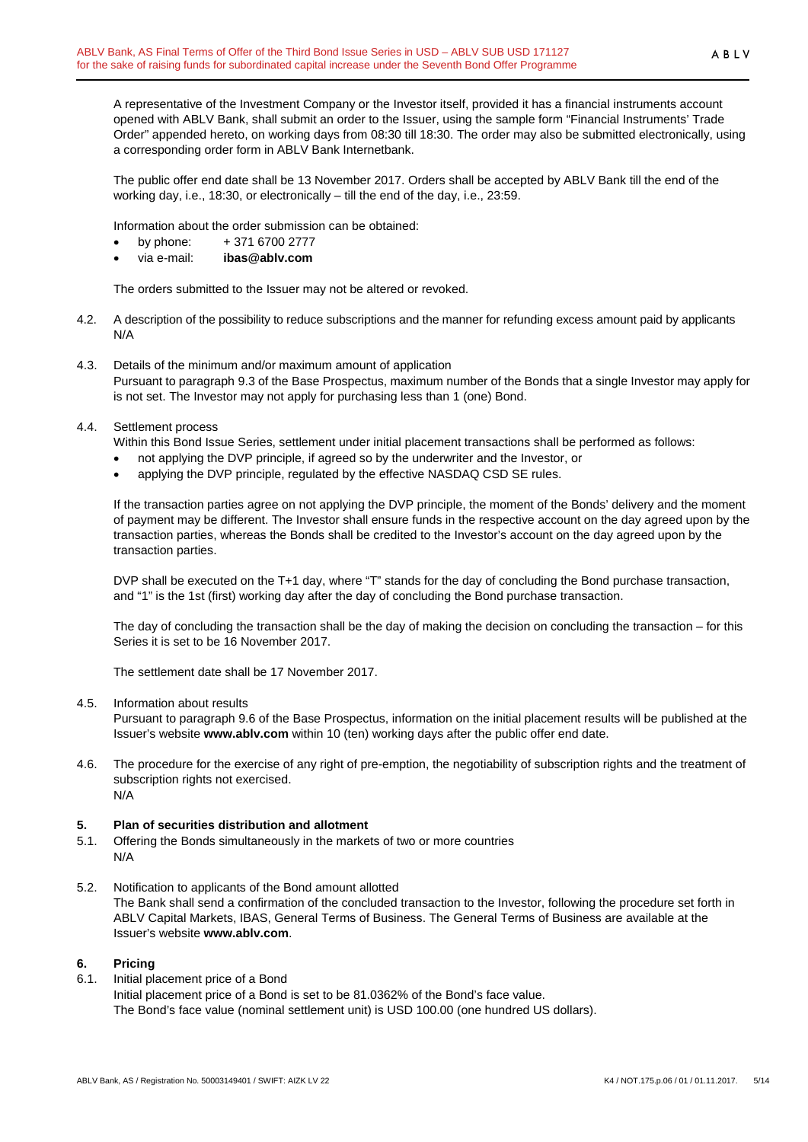A representative of the Investment Company or the Investor itself, provided it has a financial instruments account opened with ABLV Bank, shall submit an order to the Issuer, using the sample form "Financial Instruments' Trade Order" appended hereto, on working days from 08:30 till 18:30. The order may also be submitted electronically, using a corresponding order form in ABLV Bank Internetbank.

The public offer end date shall be 13 November 2017. Orders shall be accepted by ABLV Bank till the end of the working day, i.e., 18:30, or electronically – till the end of the day, i.e., 23:59.

Information about the order submission can be obtained:

- by phone: + 371 6700 2777
- via e-mail: **ibas@ablv.com**

The orders submitted to the Issuer may not be altered or revoked.

- 4.2. A description of the possibility to reduce subscriptions and the manner for refunding excess amount paid by applicants N/A
- 4.3. Details of the minimum and/or maximum amount of application Pursuant to paragraph 9.3 of the Base Prospectus, maximum number of the Bonds that a single Investor may apply for is not set. The Investor may not apply for purchasing less than 1 (one) Bond.
- 4.4. Settlement process

Within this Bond Issue Series, settlement under initial placement transactions shall be performed as follows:

- not applying the DVP principle, if agreed so by the underwriter and the Investor, or
- applying the DVP principle, regulated by the effective NASDAQ CSD SE rules.

If the transaction parties agree on not applying the DVP principle, the moment of the Bonds' delivery and the moment of payment may be different. The Investor shall ensure funds in the respective account on the day agreed upon by the transaction parties, whereas the Bonds shall be credited to the Investor's account on the day agreed upon by the transaction parties.

DVP shall be executed on the T+1 day, where "T" stands for the day of concluding the Bond purchase transaction, and "1" is the 1st (first) working day after the day of concluding the Bond purchase transaction.

The day of concluding the transaction shall be the day of making the decision on concluding the transaction – for this Series it is set to be 16 November 2017.

The settlement date shall be 17 November 2017.

4.5. Information about results

Pursuant to paragraph 9.6 of the Base Prospectus, information on the initial placement results will be published at the Issuer's website **www.ablv.com** within 10 (ten) working days after the public offer end date.

4.6. The procedure for the exercise of any right of pre-emption, the negotiability of subscription rights and the treatment of subscription rights not exercised. N/A

## <span id="page-4-0"></span>**5. Plan of securities distribution and allotment**

- 5.1. Offering the Bonds simultaneously in the markets of two or more countries N/A
- 5.2. Notification to applicants of the Bond amount allotted The Bank shall send a confirmation of the concluded transaction to the Investor, following the procedure set forth in ABLV Capital Markets, IBAS, General Terms of Business. The General Terms of Business are available at the Issuer's website **[www.ablv.com](http://www.ablv.com/)**.

## <span id="page-4-1"></span>**6. Pricing**

6.1. Initial placement price of a Bond Initial placement price of a Bond is set to be 81.0362% of the Bond's face value. The Bond's face value (nominal settlement unit) is USD 100.00 (one hundred US dollars).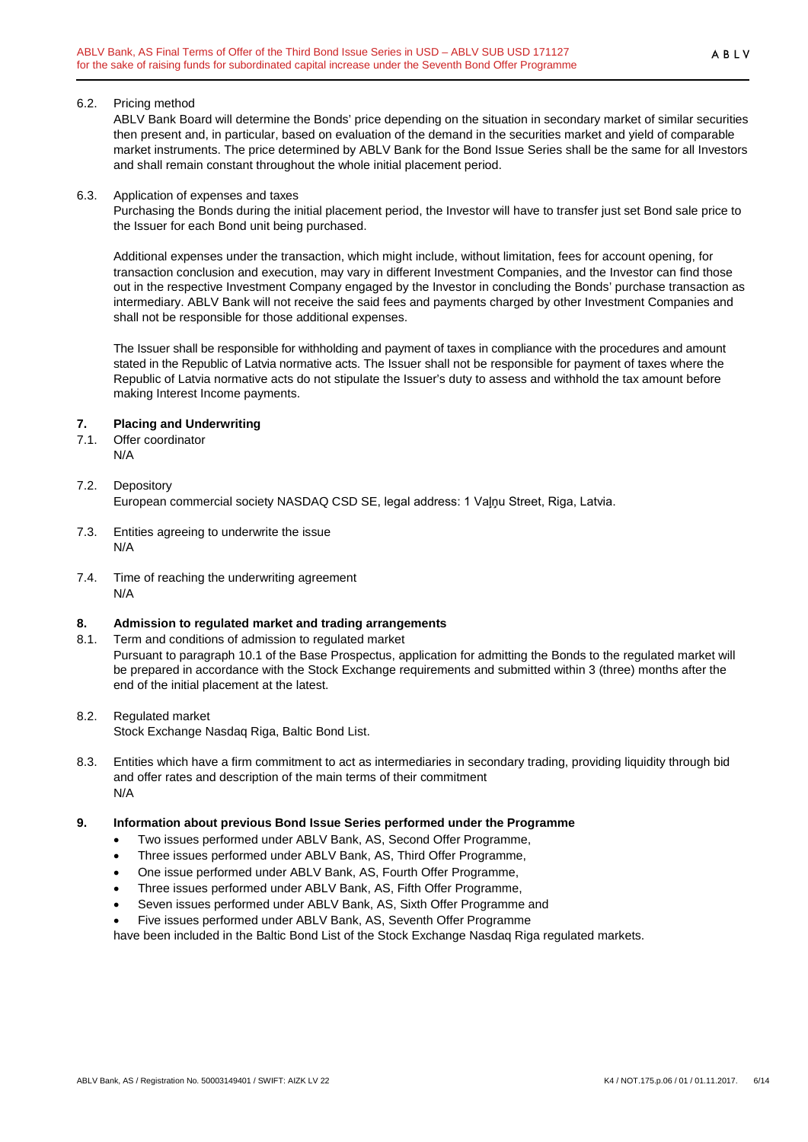#### 6.2. Pricing method

ABLV Bank Board will determine the Bonds' price depending on the situation in secondary market of similar securities then present and, in particular, based on evaluation of the demand in the securities market and yield of comparable market instruments. The price determined by ABLV Bank for the Bond Issue Series shall be the same for all Investors and shall remain constant throughout the whole initial placement period.

#### 6.3. Application of expenses and taxes

Purchasing the Bonds during the initial placement period, the Investor will have to transfer just set Bond sale price to the Issuer for each Bond unit being purchased.

Additional expenses under the transaction, which might include, without limitation, fees for account opening, for transaction conclusion and execution, may vary in different Investment Companies, and the Investor can find those out in the respective Investment Company engaged by the Investor in concluding the Bonds' purchase transaction as intermediary. ABLV Bank will not receive the said fees and payments charged by other Investment Companies and shall not be responsible for those additional expenses.

The Issuer shall be responsible for withholding and payment of taxes in compliance with the procedures and amount stated in the Republic of Latvia normative acts. The Issuer shall not be responsible for payment of taxes where the Republic of Latvia normative acts do not stipulate the Issuer's duty to assess and withhold the tax amount before making Interest Income payments.

## <span id="page-5-0"></span>**7. Placing and Underwriting**

- 7.1. Offer coordinator N/A
- 7.2. Depository European commercial society NASDAQ CSD SE, legal address: 1 Vaļņu Street, Riga, Latvia.
- 7.3. Entities agreeing to underwrite the issue N/A
- 7.4. Time of reaching the underwriting agreement N/A

## <span id="page-5-1"></span>**8. Admission to regulated market and trading arrangements**

8.1. Term and conditions of admission to regulated market Pursuant to paragraph 10.1 of the Base Prospectus, application for admitting the Bonds to the regulated market will be prepared in accordance with the Stock Exchange requirements and submitted within 3 (three) months after the end of the initial placement at the latest.

## 8.2. Regulated market

Stock Exchange Nasdaq Riga, Baltic Bond List.

8.3. Entities which have a firm commitment to act as intermediaries in secondary trading, providing liquidity through bid and offer rates and description of the main terms of their commitment N/A

## <span id="page-5-2"></span>**9. Information about previous Bond Issue Series performed under the Programme**

- Two issues performed under ABLV Bank, AS, Second Offer Programme,
- Three issues performed under ABLV Bank, AS, Third Offer Programme,
- One issue performed under ABLV Bank, AS, Fourth Offer Programme,
- Three issues performed under ABLV Bank, AS, Fifth Offer Programme,
- Seven issues performed under ABLV Bank, AS, Sixth Offer Programme and
- Five issues performed under ABLV Bank, AS, Seventh Offer Programme

have been included in the Baltic Bond List of the Stock Exchange Nasdaq Riga regulated markets.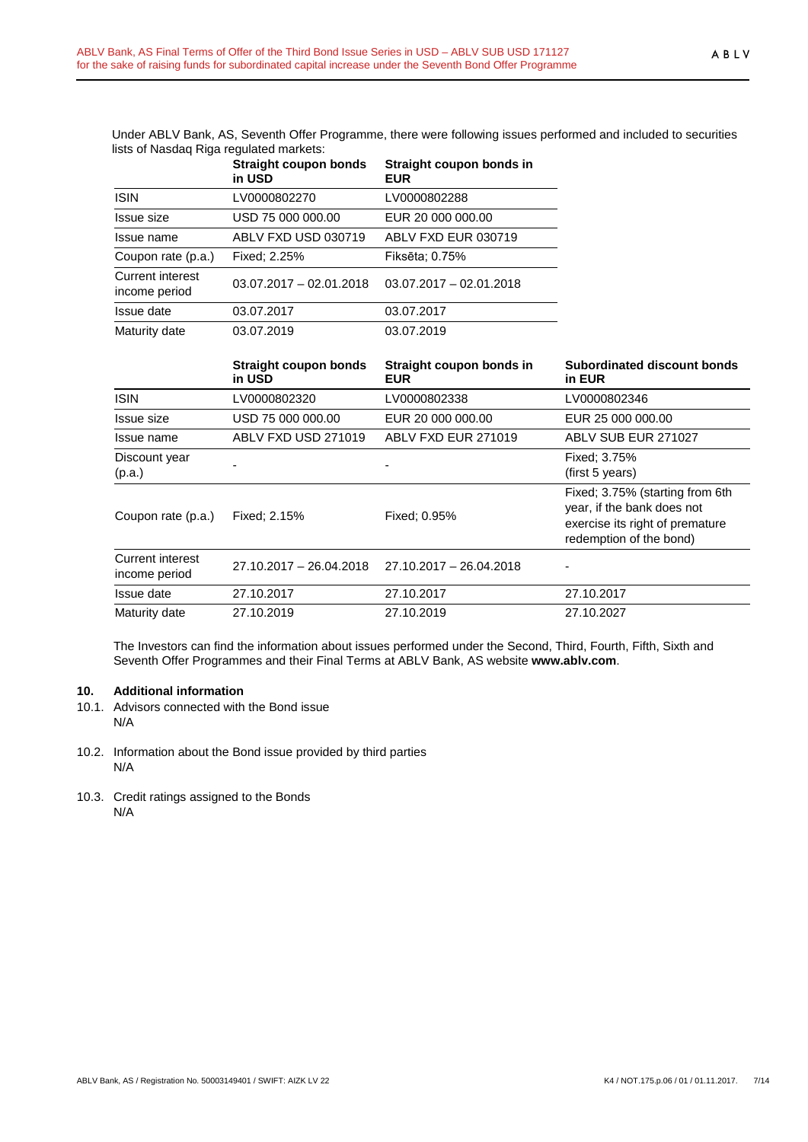Under ABLV Bank, AS, Seventh Offer Programme, there were following issues performed and included to securities lists of Nasdaq Riga regulated markets:

|                                          | Straight coupon bonds<br>in USD | Straight coupon bonds in<br><b>EUR</b> |
|------------------------------------------|---------------------------------|----------------------------------------|
| <b>ISIN</b>                              | LV0000802270                    | LV0000802288                           |
| Issue size                               | USD 75 000 000.00               | EUR 20 000 000.00                      |
| Issue name                               | ABLV FXD USD 030719             | ABLV FXD EUR 030719                    |
| Coupon rate (p.a.)                       | Fixed: 2.25%                    | Fiksēta: 0.75%                         |
| <b>Current interest</b><br>income period | $03.07.2017 - 02.01.2018$       | $03.07.2017 - 02.01.2018$              |
| Issue date                               | 03.07.2017                      | 03.07.2017                             |
| Maturity date                            | 03.07.2019                      | 03.07.2019                             |

|                                          | <b>Straight coupon bonds</b><br>in USD | Straight coupon bonds in<br><b>EUR</b> | Subordinated discount bonds<br>in EUR                                                                                       |
|------------------------------------------|----------------------------------------|----------------------------------------|-----------------------------------------------------------------------------------------------------------------------------|
| <b>ISIN</b>                              | LV0000802320                           | LV0000802338                           | LV0000802346                                                                                                                |
| Issue size                               | USD 75 000 000.00                      | EUR 20 000 000.00                      | EUR 25 000 000.00                                                                                                           |
| Issue name                               | ABLV FXD USD 271019                    | ABLV FXD EUR 271019                    | ABLV SUB EUR 271027                                                                                                         |
| Discount year<br>(p.a.)                  |                                        |                                        | Fixed: 3.75%<br>(first 5 years)                                                                                             |
| Coupon rate (p.a.)                       | Fixed: 2.15%                           | Fixed: 0.95%                           | Fixed; 3.75% (starting from 6th<br>year, if the bank does not<br>exercise its right of premature<br>redemption of the bond) |
| <b>Current interest</b><br>income period | $27.10.2017 - 26.04.2018$              | 27.10.2017 - 26.04.2018                |                                                                                                                             |
| Issue date                               | 27.10.2017                             | 27.10.2017                             | 27.10.2017                                                                                                                  |
| Maturity date                            | 27.10.2019                             | 27.10.2019                             | 27.10.2027                                                                                                                  |

The Investors can find the information about issues performed under the Second, Third, Fourth, Fifth, Sixth and Seventh Offer Programmes and their Final Terms at ABLV Bank, AS website **[www.ablv.com](http://www.ablv.com/)**.

## <span id="page-6-0"></span>**10. Additional information**

- 10.1. Advisors connected with the Bond issue N/A
- 10.2. Information about the Bond issue provided by third parties N/A
- 10.3. Credit ratings assigned to the Bonds N/A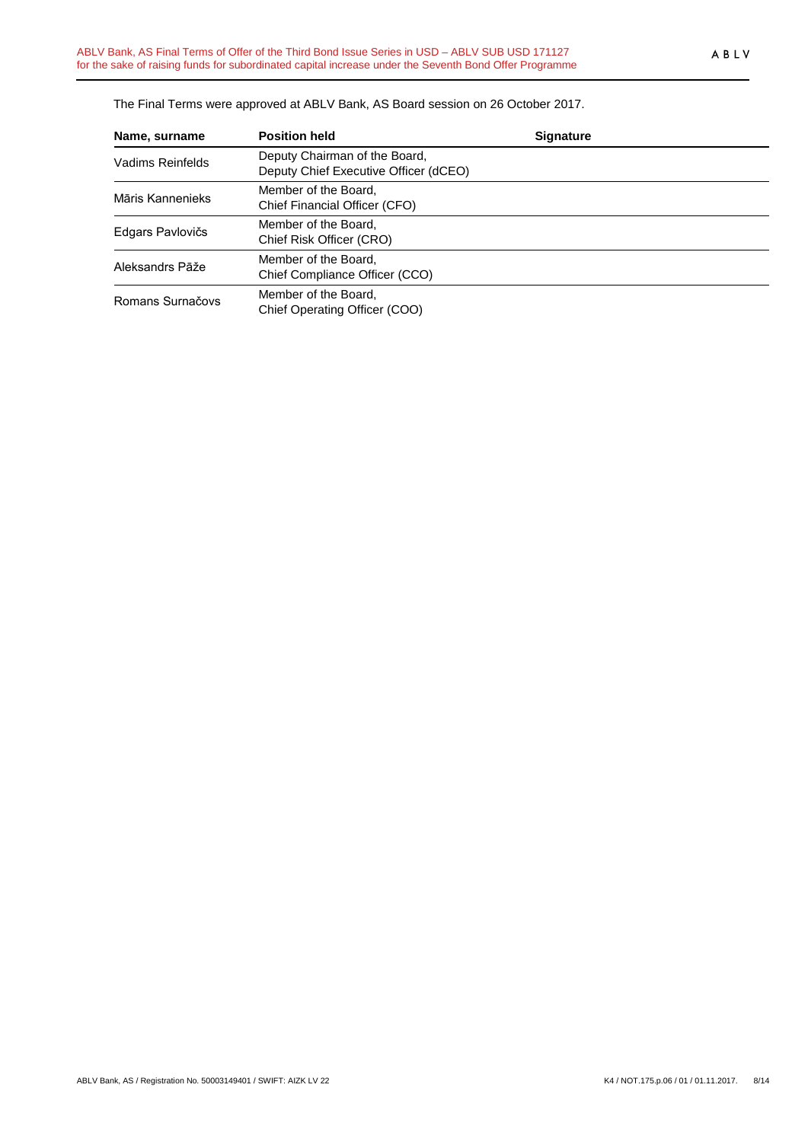The Final Terms were approved at ABLV Bank, AS Board session on 26 October 2017.

| Name, surname    | <b>Position held</b>                                                   | <b>Signature</b> |
|------------------|------------------------------------------------------------------------|------------------|
| Vadims Reinfelds | Deputy Chairman of the Board,<br>Deputy Chief Executive Officer (dCEO) |                  |
| Māris Kannenieks | Member of the Board.<br>Chief Financial Officer (CFO)                  |                  |
| Edgars Pavlovičs | Member of the Board,<br>Chief Risk Officer (CRO)                       |                  |
| Aleksandrs Pāže  | Member of the Board,<br>Chief Compliance Officer (CCO)                 |                  |
| Romans Surnačovs | Member of the Board,<br>Chief Operating Officer (COO)                  |                  |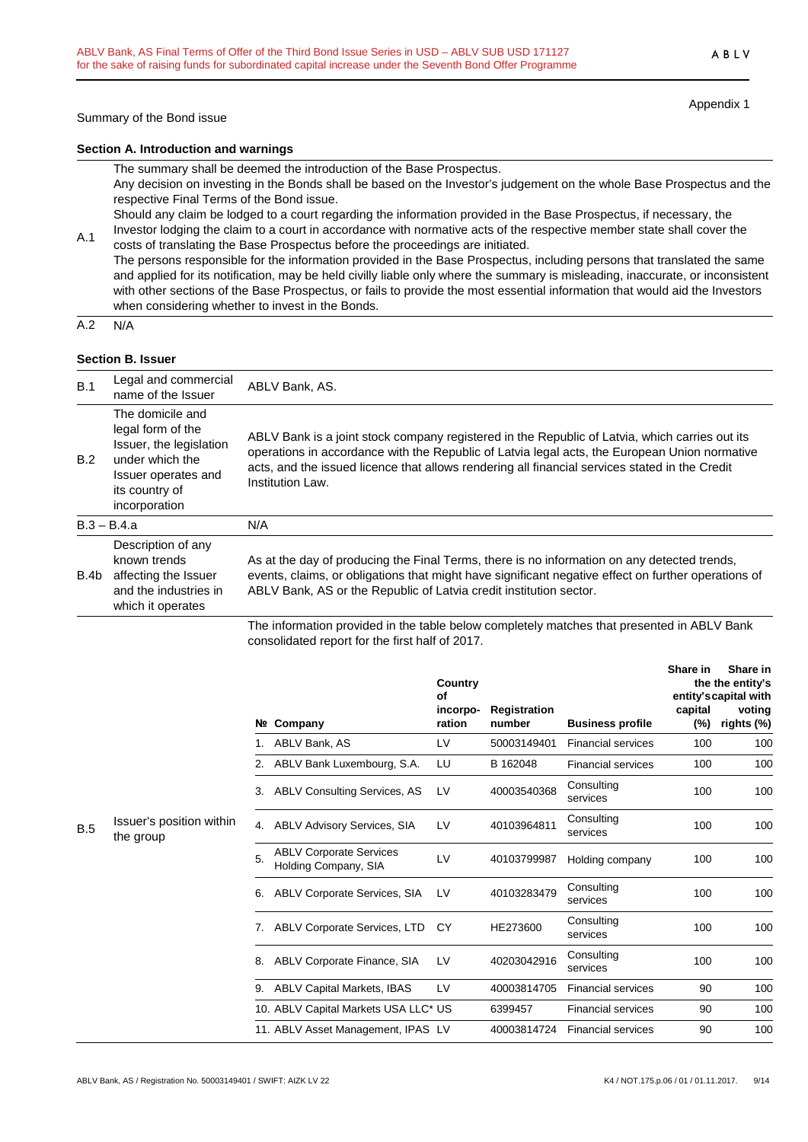Summary of the Bond issue

Appendix 1

#### **Section A. Introduction and warnings**

The summary shall be deemed the introduction of the Base Prospectus.

Any decision on investing in the Bonds shall be based on the Investor's judgement on the whole Base Prospectus and the respective Final Terms of the Bond issue.

Should any claim be lodged to a court regarding the information provided in the Base Prospectus, if necessary, the Investor lodging the claim to a court in accordance with normative acts of the respective member state shall cover the

A.1 costs of translating the Base Prospectus before the proceedings are initiated. The persons responsible for the information provided in the Base Prospectus, including persons that translated the same and applied for its notification, may be held civilly liable only where the summary is misleading, inaccurate, or inconsistent with other sections of the Base Prospectus, or fails to provide the most essential information that would aid the Investors when considering whether to invest in the Bonds.

 $A.2 N/A$ 

#### **Section B. Issuer**

| B.1  | Legal and commercial<br>name of the Issuer                                                                                                    | ABLV Bank, AS.                                                                                                                                                                                                                                                                                                        |
|------|-----------------------------------------------------------------------------------------------------------------------------------------------|-----------------------------------------------------------------------------------------------------------------------------------------------------------------------------------------------------------------------------------------------------------------------------------------------------------------------|
| B.2  | The domicile and<br>legal form of the<br>Issuer, the legislation<br>under which the<br>Issuer operates and<br>its country of<br>incorporation | ABLV Bank is a joint stock company registered in the Republic of Latvia, which carries out its<br>operations in accordance with the Republic of Latvia legal acts, the European Union normative<br>acts, and the issued licence that allows rendering all financial services stated in the Credit<br>Institution Law. |
|      | $B.3 - B.4.a$                                                                                                                                 | N/A                                                                                                                                                                                                                                                                                                                   |
| B.4b | Description of any<br>known trends<br>affecting the Issuer<br>and the industries in<br>which it operates                                      | As at the day of producing the Final Terms, there is no information on any detected trends,<br>events, claims, or obligations that might have significant negative effect on further operations of<br>ABLV Bank, AS or the Republic of Latvia credit institution sector.                                              |
|      |                                                                                                                                               | The information provided in the table below completely matches that presented in ABLV Bank                                                                                                                                                                                                                            |

The information provided in the table below completely matches that presented in ABLV Bank consolidated report for the first half of 2017.

|     |                                       |    |                                                        | Country<br>Οf      |                        |                           | Share in       | Share in<br>the the entity's<br>entity's capital with |
|-----|---------------------------------------|----|--------------------------------------------------------|--------------------|------------------------|---------------------------|----------------|-------------------------------------------------------|
|     |                                       |    | Nº Company                                             | incorpo-<br>ration | Registration<br>number | <b>Business profile</b>   | capital<br>(%) | voting<br>rights (%)                                  |
|     |                                       |    | ABLV Bank, AS                                          | LV                 | 50003149401            | <b>Financial services</b> | 100            | 100                                                   |
|     |                                       | 2. | ABLV Bank Luxembourg, S.A.                             | LU                 | B 162048               | <b>Financial services</b> | 100            | 100                                                   |
|     |                                       | 3. | <b>ABLV Consulting Services, AS</b>                    | LV                 | 40003540368            | Consulting<br>services    | 100            | 100                                                   |
| B.5 | Issuer's position within<br>the group | 4. | ABLV Advisory Services, SIA                            | LV                 | 40103964811            | Consulting<br>services    | 100            | 100                                                   |
|     |                                       | 5. | <b>ABLV Corporate Services</b><br>Holding Company, SIA | LV                 | 40103799987            | Holding company           | 100            | 100                                                   |
|     |                                       | 6. | ABLV Corporate Services, SIA                           | LV                 | 40103283479            | Consulting<br>services    | 100            | 100                                                   |
|     |                                       | 7. | <b>ABLV Corporate Services, LTD</b>                    | CY                 | HE273600               | Consulting<br>services    | 100            | 100                                                   |
|     |                                       | 8. | ABLV Corporate Finance, SIA                            | LV                 | 40203042916            | Consulting<br>services    | 100            | 100                                                   |
|     |                                       | 9. | <b>ABLV Capital Markets, IBAS</b>                      | LV                 | 40003814705            | <b>Financial services</b> | 90             | 100                                                   |
|     |                                       |    | 10. ABLV Capital Markets USA LLC* US                   |                    | 6399457                | <b>Financial services</b> | 90             | 100                                                   |
|     |                                       |    | 11. ABLV Asset Management, IPAS LV                     |                    | 40003814724            | <b>Financial services</b> | 90             | 100                                                   |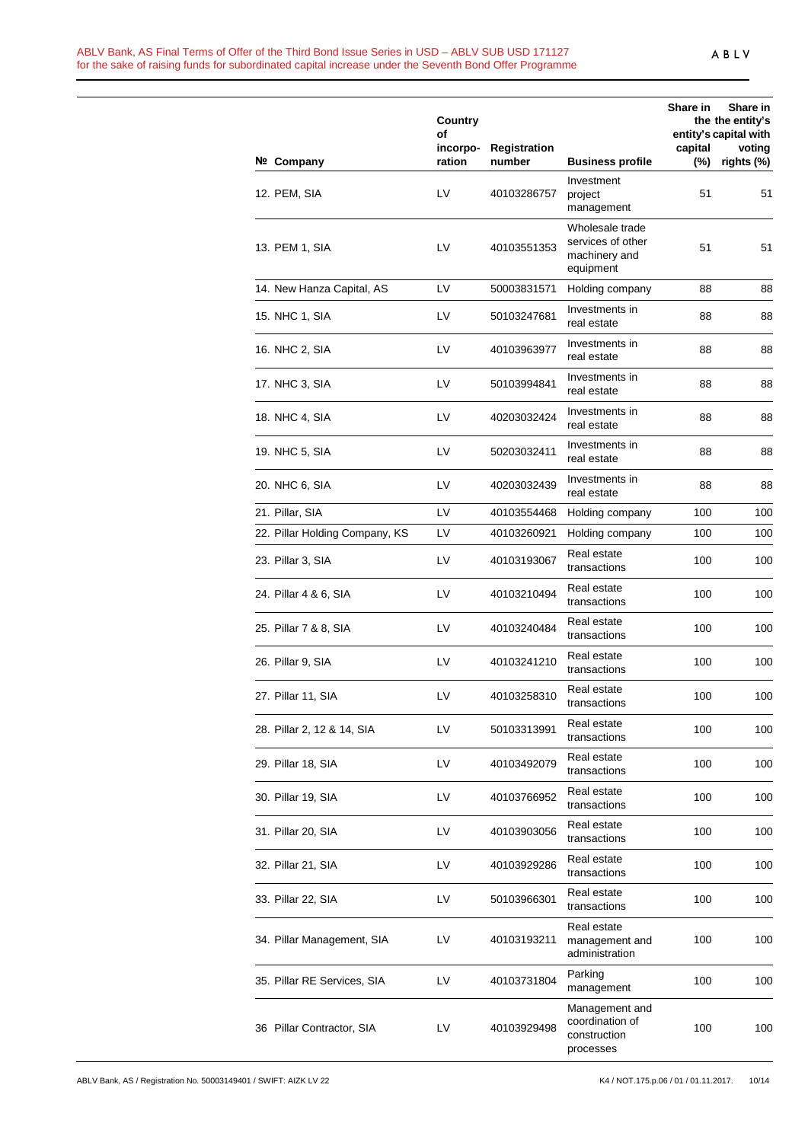#### ABLV Bank, AS Final Terms of Offer of the Third Bond Issue Series in USD – ABLV SUB USD 171127 for the sake of raising funds for subordinated capital increase under the Seventh Bond Offer Programme

|                                | Country<br>of      |                        |                                                                    | Share in       | Share in<br>the the entity's<br>entity's capital with |
|--------------------------------|--------------------|------------------------|--------------------------------------------------------------------|----------------|-------------------------------------------------------|
| Nº Company                     | incorpo-<br>ration | Registration<br>number | <b>Business profile</b>                                            | capital<br>(%) | voting<br>rights (%)                                  |
| 12. PEM, SIA                   | LV                 | 40103286757            | Investment<br>project<br>management                                | 51             | 51                                                    |
| 13. PEM 1, SIA                 | LV                 | 40103551353            | Wholesale trade<br>services of other<br>machinery and<br>equipment | 51             | 51                                                    |
| 14. New Hanza Capital, AS      | LV                 | 50003831571            | Holding company                                                    | 88             | 88                                                    |
| 15. NHC 1, SIA                 | LV                 | 50103247681            | Investments in<br>real estate                                      | 88             | 88                                                    |
| 16. NHC 2, SIA                 | LV                 | 40103963977            | Investments in<br>real estate                                      | 88             | 88                                                    |
| 17. NHC 3, SIA                 | LV                 | 50103994841            | Investments in<br>real estate                                      | 88             | 88                                                    |
| 18. NHC 4, SIA                 | LV                 | 40203032424            | Investments in<br>real estate                                      | 88             | 88                                                    |
| 19. NHC 5, SIA                 | LV                 | 50203032411            | Investments in<br>real estate                                      | 88             | 88                                                    |
| 20. NHC 6, SIA                 | LV                 | 40203032439            | Investments in<br>real estate                                      | 88             | 88                                                    |
| 21. Pillar, SIA                | LV                 | 40103554468            | Holding company                                                    | 100            | 100                                                   |
| 22. Pillar Holding Company, KS | LV                 | 40103260921            | Holding company                                                    | 100            | 100                                                   |
| 23. Pillar 3, SIA              | LV                 | 40103193067            | Real estate<br>transactions                                        | 100            | 100                                                   |
| 24. Pillar 4 & 6, SIA          | LV                 | 40103210494            | Real estate<br>transactions                                        | 100            | 100                                                   |
| 25. Pillar 7 & 8, SIA          | LV                 | 40103240484            | Real estate<br>transactions                                        | 100            | 100                                                   |
| 26. Pillar 9, SIA              | LV                 | 40103241210            | Real estate<br>transactions                                        | 100            | 100                                                   |
| 27. Pillar 11, SIA             | LV                 | 40103258310            | Real estate<br>transactions                                        | 100            | 100                                                   |
| 28. Pillar 2, 12 & 14, SIA     | LV                 | 50103313991            | Real estate<br>transactions                                        | 100            | 100                                                   |
| 29. Pillar 18, SIA             | LV                 | 40103492079            | Real estate<br>transactions                                        | 100            | 100                                                   |
| 30. Pillar 19, SIA             | LV                 | 40103766952            | Real estate<br>transactions                                        | 100            | 100                                                   |
| 31. Pillar 20, SIA             | LV                 | 40103903056            | Real estate<br>transactions                                        | 100            | 100                                                   |
| 32. Pillar 21, SIA             | LV                 | 40103929286            | Real estate<br>transactions                                        | 100            | 100                                                   |
| 33. Pillar 22, SIA             | LV                 | 50103966301            | Real estate<br>transactions                                        | 100            | 100                                                   |
| 34. Pillar Management, SIA     | LV                 | 40103193211            | Real estate<br>management and<br>administration                    | 100            | 100                                                   |
| 35. Pillar RE Services, SIA    | LV                 | 40103731804            | Parking<br>management                                              | 100            | 100                                                   |
| 36 Pillar Contractor, SIA      | LV                 | 40103929498            | Management and<br>coordination of<br>construction<br>processes     | 100            | 100                                                   |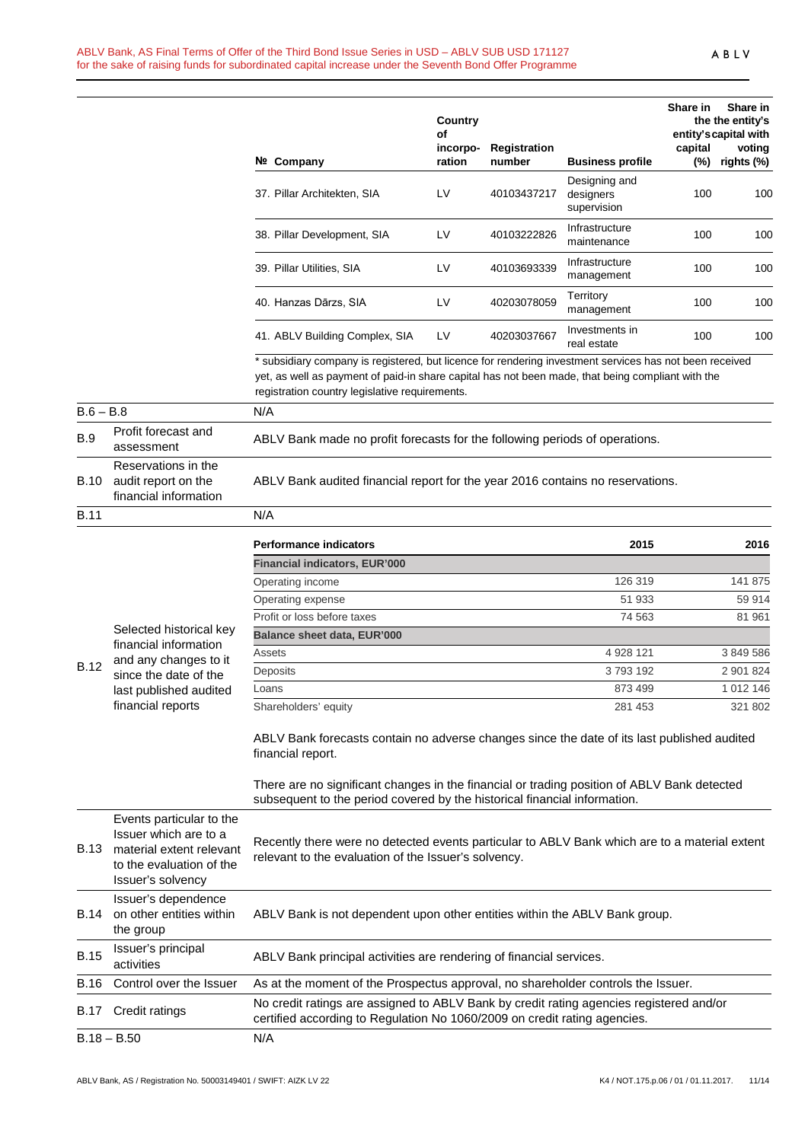|             |                                                                                                                                | Nº Company                                                                                                                                                                                                                                                     | Country<br>of<br>incorpo-<br>ration | <b>Registration</b><br>number | <b>Business profile</b>                   | Share in<br>capital<br>$(\%)$ | Share in<br>the the entity's<br>entity's capital with<br>voting<br>rights (%) |
|-------------|--------------------------------------------------------------------------------------------------------------------------------|----------------------------------------------------------------------------------------------------------------------------------------------------------------------------------------------------------------------------------------------------------------|-------------------------------------|-------------------------------|-------------------------------------------|-------------------------------|-------------------------------------------------------------------------------|
|             |                                                                                                                                | 37. Pillar Architekten, SIA                                                                                                                                                                                                                                    | LV                                  | 40103437217                   | Designing and<br>designers<br>supervision | 100                           | 100                                                                           |
|             |                                                                                                                                | 38. Pillar Development, SIA                                                                                                                                                                                                                                    | LV                                  | 40103222826                   | Infrastructure<br>maintenance             | 100                           | 100                                                                           |
|             |                                                                                                                                | 39. Pillar Utilities, SIA                                                                                                                                                                                                                                      | LV                                  | 40103693339                   | Infrastructure<br>management              | 100                           | 100                                                                           |
|             |                                                                                                                                | 40. Hanzas Dārzs, SIA                                                                                                                                                                                                                                          | LV                                  | 40203078059                   | Territory<br>management                   | 100                           | 100                                                                           |
|             |                                                                                                                                | 41. ABLV Building Complex, SIA                                                                                                                                                                                                                                 | LV                                  | 40203037667                   | Investments in<br>real estate             | 100                           | 100                                                                           |
|             |                                                                                                                                | * subsidiary company is registered, but licence for rendering investment services has not been received<br>yet, as well as payment of paid-in share capital has not been made, that being compliant with the<br>registration country legislative requirements. |                                     |                               |                                           |                               |                                                                               |
| $B.6 - B.8$ |                                                                                                                                | N/A                                                                                                                                                                                                                                                            |                                     |                               |                                           |                               |                                                                               |
| <b>B.9</b>  | Profit forecast and<br>assessment                                                                                              | ABLV Bank made no profit forecasts for the following periods of operations.                                                                                                                                                                                    |                                     |                               |                                           |                               |                                                                               |
| B.10        | Reservations in the<br>audit report on the<br>financial information                                                            | ABLV Bank audited financial report for the year 2016 contains no reservations.                                                                                                                                                                                 |                                     |                               |                                           |                               |                                                                               |
| <b>B.11</b> |                                                                                                                                | N/A                                                                                                                                                                                                                                                            |                                     |                               |                                           |                               |                                                                               |
|             |                                                                                                                                | <b>Performance indicators</b><br><b>Financial indicators, EUR'000</b>                                                                                                                                                                                          |                                     |                               | 2015                                      |                               | 2016                                                                          |
|             |                                                                                                                                | Operating income                                                                                                                                                                                                                                               |                                     |                               | 126 319                                   |                               | 141 875                                                                       |
|             |                                                                                                                                | Operating expense                                                                                                                                                                                                                                              |                                     |                               | 51 933                                    |                               | 59 914                                                                        |
|             |                                                                                                                                | Profit or loss before taxes                                                                                                                                                                                                                                    |                                     |                               | 74 563                                    |                               | 81 961                                                                        |
|             | Selected historical key                                                                                                        | <b>Balance sheet data, EUR'000</b>                                                                                                                                                                                                                             |                                     |                               |                                           |                               |                                                                               |
|             | financial information                                                                                                          | Assets                                                                                                                                                                                                                                                         |                                     |                               | 4 928 121                                 |                               | 3 849 586                                                                     |
| <b>B.12</b> | and any changes to it                                                                                                          | Deposits                                                                                                                                                                                                                                                       |                                     |                               | 3793192                                   |                               | 2 901 824                                                                     |
|             | since the date of the                                                                                                          | Loans                                                                                                                                                                                                                                                          |                                     |                               | 873 499                                   |                               | 1 012 146                                                                     |
|             | last published audited<br>financial reports                                                                                    | Shareholders' equity                                                                                                                                                                                                                                           |                                     |                               | 281 453                                   |                               | 321 802                                                                       |
|             |                                                                                                                                | ABLV Bank forecasts contain no adverse changes since the date of its last published audited<br>financial report.                                                                                                                                               |                                     |                               |                                           |                               |                                                                               |
|             |                                                                                                                                | There are no significant changes in the financial or trading position of ABLV Bank detected<br>subsequent to the period covered by the historical financial information.                                                                                       |                                     |                               |                                           |                               |                                                                               |
| B.13        | Events particular to the<br>Issuer which are to a<br>material extent relevant<br>to the evaluation of the<br>Issuer's solvency | Recently there were no detected events particular to ABLV Bank which are to a material extent<br>relevant to the evaluation of the Issuer's solvency.                                                                                                          |                                     |                               |                                           |                               |                                                                               |
| B.14        | Issuer's dependence<br>on other entities within<br>the group                                                                   | ABLV Bank is not dependent upon other entities within the ABLV Bank group.                                                                                                                                                                                     |                                     |                               |                                           |                               |                                                                               |
| <b>B.15</b> | Issuer's principal<br>activities                                                                                               | ABLV Bank principal activities are rendering of financial services.                                                                                                                                                                                            |                                     |                               |                                           |                               |                                                                               |
| B.16        | Control over the Issuer                                                                                                        | As at the moment of the Prospectus approval, no shareholder controls the Issuer.                                                                                                                                                                               |                                     |                               |                                           |                               |                                                                               |
| B.17        | Credit ratings                                                                                                                 | No credit ratings are assigned to ABLV Bank by credit rating agencies registered and/or<br>certified according to Regulation No 1060/2009 on credit rating agencies.                                                                                           |                                     |                               |                                           |                               |                                                                               |
|             | $B.18 - B.50$                                                                                                                  | N/A                                                                                                                                                                                                                                                            |                                     |                               |                                           |                               |                                                                               |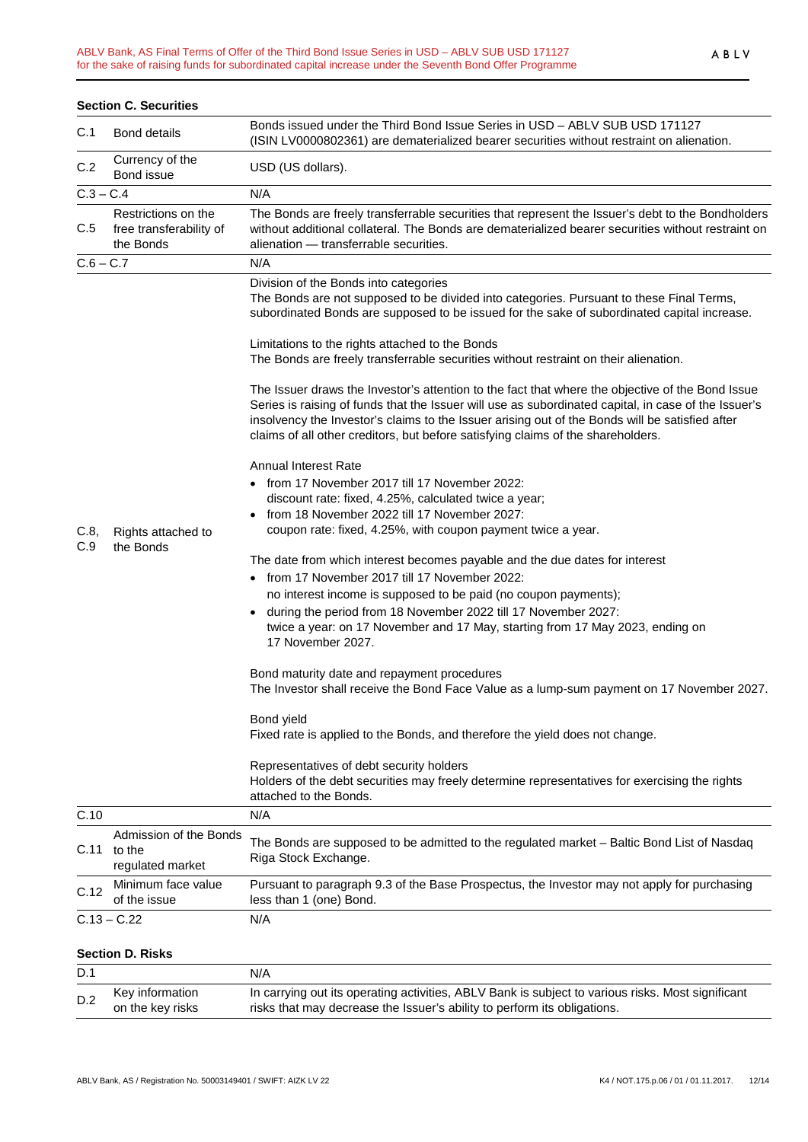| <b>Section C. Securities</b> |                                                             |                                                                                                                                                                                                                                                                                                                                                                                                 |  |  |  |  |  |
|------------------------------|-------------------------------------------------------------|-------------------------------------------------------------------------------------------------------------------------------------------------------------------------------------------------------------------------------------------------------------------------------------------------------------------------------------------------------------------------------------------------|--|--|--|--|--|
| C.1                          | <b>Bond details</b>                                         | Bonds issued under the Third Bond Issue Series in USD - ABLV SUB USD 171127<br>(ISIN LV0000802361) are dematerialized bearer securities without restraint on alienation.                                                                                                                                                                                                                        |  |  |  |  |  |
| C.2                          | Currency of the<br>Bond issue                               | USD (US dollars).                                                                                                                                                                                                                                                                                                                                                                               |  |  |  |  |  |
| $C.3 - C.4$                  |                                                             | N/A                                                                                                                                                                                                                                                                                                                                                                                             |  |  |  |  |  |
| C.5                          | Restrictions on the<br>free transferability of<br>the Bonds | The Bonds are freely transferrable securities that represent the Issuer's debt to the Bondholders<br>without additional collateral. The Bonds are dematerialized bearer securities without restraint on<br>alienation - transferrable securities.                                                                                                                                               |  |  |  |  |  |
| $C.6 - C.7$                  |                                                             | N/A                                                                                                                                                                                                                                                                                                                                                                                             |  |  |  |  |  |
|                              | Rights attached to<br>the Bonds                             | Division of the Bonds into categories<br>The Bonds are not supposed to be divided into categories. Pursuant to these Final Terms,<br>subordinated Bonds are supposed to be issued for the sake of subordinated capital increase.                                                                                                                                                                |  |  |  |  |  |
|                              |                                                             | Limitations to the rights attached to the Bonds<br>The Bonds are freely transferrable securities without restraint on their alienation.                                                                                                                                                                                                                                                         |  |  |  |  |  |
|                              |                                                             | The Issuer draws the Investor's attention to the fact that where the objective of the Bond Issue<br>Series is raising of funds that the Issuer will use as subordinated capital, in case of the Issuer's<br>insolvency the Investor's claims to the Issuer arising out of the Bonds will be satisfied after<br>claims of all other creditors, but before satisfying claims of the shareholders. |  |  |  |  |  |
|                              |                                                             | <b>Annual Interest Rate</b>                                                                                                                                                                                                                                                                                                                                                                     |  |  |  |  |  |
|                              |                                                             | • from 17 November 2017 till 17 November 2022:                                                                                                                                                                                                                                                                                                                                                  |  |  |  |  |  |
|                              |                                                             | discount rate: fixed, 4.25%, calculated twice a year;                                                                                                                                                                                                                                                                                                                                           |  |  |  |  |  |
|                              |                                                             | from 18 November 2022 till 17 November 2027:                                                                                                                                                                                                                                                                                                                                                    |  |  |  |  |  |
| C.8,<br>C.9                  |                                                             | coupon rate: fixed, 4.25%, with coupon payment twice a year.                                                                                                                                                                                                                                                                                                                                    |  |  |  |  |  |
|                              |                                                             | The date from which interest becomes payable and the due dates for interest                                                                                                                                                                                                                                                                                                                     |  |  |  |  |  |
|                              |                                                             | from 17 November 2017 till 17 November 2022:                                                                                                                                                                                                                                                                                                                                                    |  |  |  |  |  |
|                              |                                                             | no interest income is supposed to be paid (no coupon payments);                                                                                                                                                                                                                                                                                                                                 |  |  |  |  |  |
|                              |                                                             | during the period from 18 November 2022 till 17 November 2027:                                                                                                                                                                                                                                                                                                                                  |  |  |  |  |  |
|                              |                                                             | twice a year: on 17 November and 17 May, starting from 17 May 2023, ending on                                                                                                                                                                                                                                                                                                                   |  |  |  |  |  |
|                              |                                                             | 17 November 2027.                                                                                                                                                                                                                                                                                                                                                                               |  |  |  |  |  |
|                              |                                                             | Bond maturity date and repayment procedures<br>The Investor shall receive the Bond Face Value as a lump-sum payment on 17 November 2027.                                                                                                                                                                                                                                                        |  |  |  |  |  |
|                              |                                                             | Bond yield                                                                                                                                                                                                                                                                                                                                                                                      |  |  |  |  |  |
|                              |                                                             | Fixed rate is applied to the Bonds, and therefore the yield does not change.                                                                                                                                                                                                                                                                                                                    |  |  |  |  |  |
|                              |                                                             | Representatives of debt security holders<br>Holders of the debt securities may freely determine representatives for exercising the rights<br>attached to the Bonds.                                                                                                                                                                                                                             |  |  |  |  |  |
| C.10                         |                                                             | N/A                                                                                                                                                                                                                                                                                                                                                                                             |  |  |  |  |  |
| C.11                         | Admission of the Bonds<br>to the<br>regulated market        | The Bonds are supposed to be admitted to the regulated market - Baltic Bond List of Nasdaq<br>Riga Stock Exchange.                                                                                                                                                                                                                                                                              |  |  |  |  |  |
| C.12                         | Minimum face value<br>of the issue                          | Pursuant to paragraph 9.3 of the Base Prospectus, the Investor may not apply for purchasing<br>less than 1 (one) Bond.                                                                                                                                                                                                                                                                          |  |  |  |  |  |
|                              | $C.13 - C.22$                                               | N/A                                                                                                                                                                                                                                                                                                                                                                                             |  |  |  |  |  |
| <b>Section D. Risks</b>      |                                                             |                                                                                                                                                                                                                                                                                                                                                                                                 |  |  |  |  |  |
| D.1                          |                                                             | N/A                                                                                                                                                                                                                                                                                                                                                                                             |  |  |  |  |  |
|                              | Key information                                             | In carrying out its operating activities, ABLV Bank is subject to various risks. Most significant                                                                                                                                                                                                                                                                                               |  |  |  |  |  |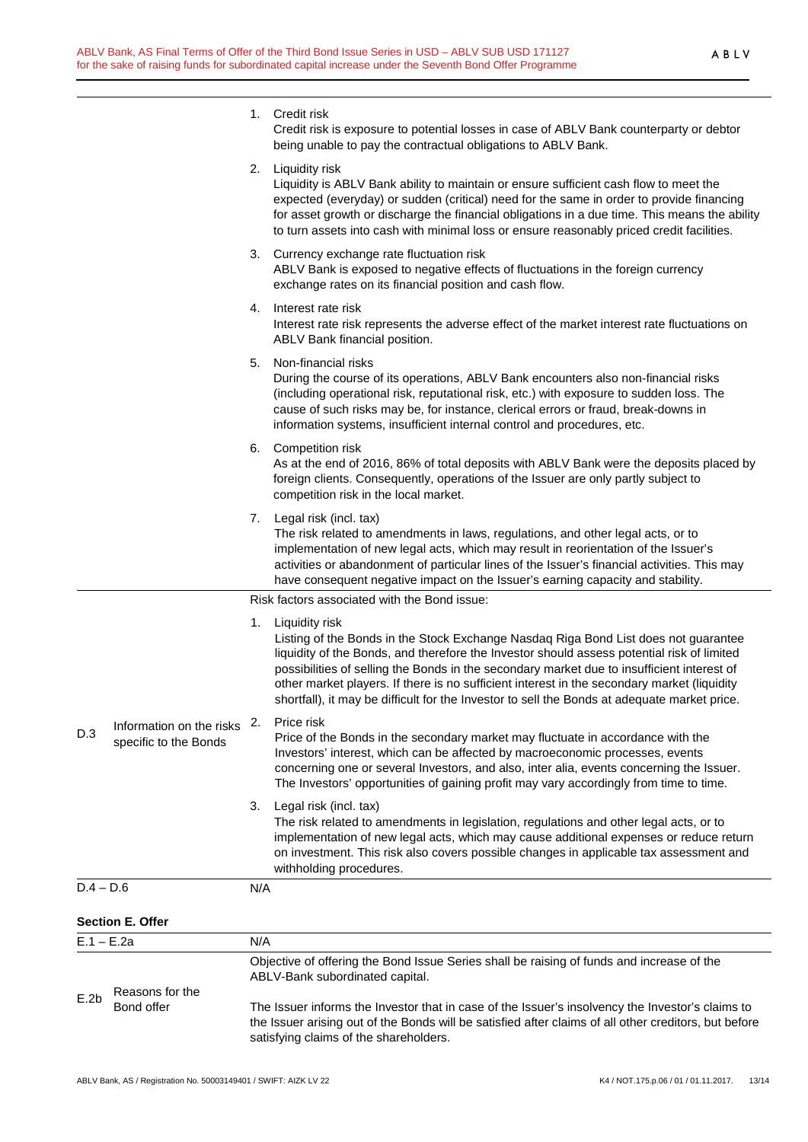1. Credit risk

|              |                                                   |                                                                                                                              | Credit risk is exposure to potential losses in case of ABLV Bank counterparty or debtor<br>being unable to pay the contractual obligations to ABLV Bank.                                                                                                                                                                                                                                                                                                                                         |  |  |  |
|--------------|---------------------------------------------------|------------------------------------------------------------------------------------------------------------------------------|--------------------------------------------------------------------------------------------------------------------------------------------------------------------------------------------------------------------------------------------------------------------------------------------------------------------------------------------------------------------------------------------------------------------------------------------------------------------------------------------------|--|--|--|
|              |                                                   | 2.                                                                                                                           | Liquidity risk<br>Liquidity is ABLV Bank ability to maintain or ensure sufficient cash flow to meet the<br>expected (everyday) or sudden (critical) need for the same in order to provide financing<br>for asset growth or discharge the financial obligations in a due time. This means the ability<br>to turn assets into cash with minimal loss or ensure reasonably priced credit facilities.                                                                                                |  |  |  |
|              |                                                   |                                                                                                                              | 3. Currency exchange rate fluctuation risk<br>ABLV Bank is exposed to negative effects of fluctuations in the foreign currency<br>exchange rates on its financial position and cash flow.                                                                                                                                                                                                                                                                                                        |  |  |  |
|              |                                                   |                                                                                                                              | 4. Interest rate risk<br>Interest rate risk represents the adverse effect of the market interest rate fluctuations on<br>ABLV Bank financial position.                                                                                                                                                                                                                                                                                                                                           |  |  |  |
|              |                                                   | 5.                                                                                                                           | Non-financial risks<br>During the course of its operations, ABLV Bank encounters also non-financial risks<br>(including operational risk, reputational risk, etc.) with exposure to sudden loss. The<br>cause of such risks may be, for instance, clerical errors or fraud, break-downs in<br>information systems, insufficient internal control and procedures, etc.                                                                                                                            |  |  |  |
|              |                                                   |                                                                                                                              | 6. Competition risk<br>As at the end of 2016, 86% of total deposits with ABLV Bank were the deposits placed by<br>foreign clients. Consequently, operations of the Issuer are only partly subject to<br>competition risk in the local market.                                                                                                                                                                                                                                                    |  |  |  |
|              |                                                   |                                                                                                                              | 7. Legal risk (incl. tax)<br>The risk related to amendments in laws, regulations, and other legal acts, or to<br>implementation of new legal acts, which may result in reorientation of the Issuer's<br>activities or abandonment of particular lines of the Issuer's financial activities. This may<br>have consequent negative impact on the Issuer's earning capacity and stability.                                                                                                          |  |  |  |
|              |                                                   | Risk factors associated with the Bond issue:                                                                                 |                                                                                                                                                                                                                                                                                                                                                                                                                                                                                                  |  |  |  |
| D.3          | Information on the risks<br>specific to the Bonds | 1.                                                                                                                           | Liquidity risk<br>Listing of the Bonds in the Stock Exchange Nasdaq Riga Bond List does not guarantee<br>liquidity of the Bonds, and therefore the Investor should assess potential risk of limited<br>possibilities of selling the Bonds in the secondary market due to insufficient interest of<br>other market players. If there is no sufficient interest in the secondary market (liquidity<br>shortfall), it may be difficult for the Investor to sell the Bonds at adequate market price. |  |  |  |
|              |                                                   |                                                                                                                              | 2. Price risk<br>Price of the Bonds in the secondary market may fluctuate in accordance with the<br>Investors' interest, which can be affected by macroeconomic processes, events<br>concerning one or several Investors, and also, inter alia, events concerning the Issuer.<br>The Investors' opportunities of gaining profit may vary accordingly from time to time.                                                                                                                          |  |  |  |
|              |                                                   |                                                                                                                              | 3. Legal risk (incl. tax)<br>The risk related to amendments in legislation, regulations and other legal acts, or to<br>implementation of new legal acts, which may cause additional expenses or reduce return<br>on investment. This risk also covers possible changes in applicable tax assessment and<br>withholding procedures.                                                                                                                                                               |  |  |  |
| $D.4 - D.6$  |                                                   | N/A                                                                                                                          |                                                                                                                                                                                                                                                                                                                                                                                                                                                                                                  |  |  |  |
|              | <b>Section E. Offer</b>                           |                                                                                                                              |                                                                                                                                                                                                                                                                                                                                                                                                                                                                                                  |  |  |  |
| $E.1 - E.2a$ |                                                   | N/A                                                                                                                          |                                                                                                                                                                                                                                                                                                                                                                                                                                                                                                  |  |  |  |
|              | Reasons for the<br>Bond offer                     | Objective of offering the Bond Issue Series shall be raising of funds and increase of the<br>ABLV-Bank subordinated capital. |                                                                                                                                                                                                                                                                                                                                                                                                                                                                                                  |  |  |  |
| E.2b         |                                                   |                                                                                                                              | The Issuer informs the Investor that in case of the Issuer's insolvency the Investor's claims to<br>the Issuer arising out of the Bonds will be satisfied after claims of all other creditors, but before<br>satisfying claims of the shareholders.                                                                                                                                                                                                                                              |  |  |  |